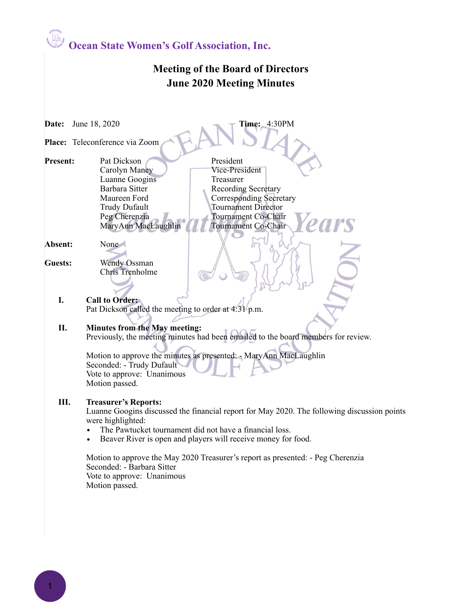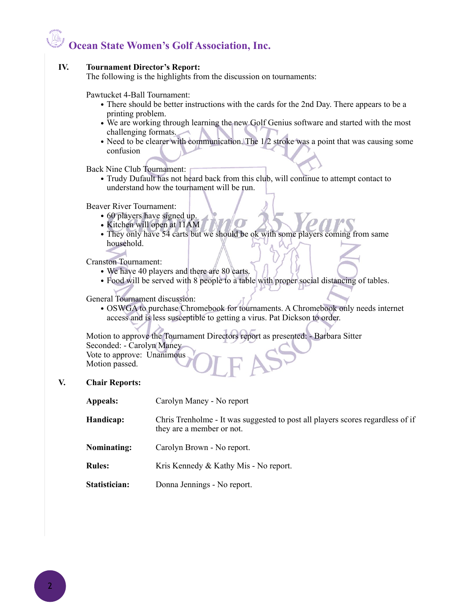# **Ocean State Women's Golf Association, Inc.**

### **IV. Tournament Director's Report:**

The following is the highlights from the discussion on tournaments:

#### Pawtucket 4-Ball Tournament:

- There should be better instructions with the cards for the 2nd Day. There appears to be a printing problem.
- We are working through learning the new Golf Genius software and started with the most challenging formats.
- Need to be clearer with communication. The 1/2 stroke was a point that was causing some confusion

Back Nine Club Tournament:

• Trudy Dufault has not heard back from this club, will continue to attempt contact to understand how the tournament will be run.

Beaver River Tournament:

- 60 players have signed up.
- Kitchen will open at 11AM
- They only have 54 carts but we should be ok with some players coming from same household.

Cranston Tournament:

- We have 40 players and there are 80 carts.
- Food will be served with 8 people to a table with proper social distancing of tables.

General Tournament discussion:

• OSWGA to purchase Chromebook for tournaments. A Chromebook only needs internet access and is less susceptible to getting a virus. Pat Dickson to order.

Motion to approve the Tournament Directors report as presented: - Barbara Sitter Seconded: - Carolyn Maney Vote to approve: Unanimous

Motion passed.

## **V. Chair Reports:**

- **Appeals:** Carolyn Maney No report
- **Handicap:** Chris Trenholme It was suggested to post all players scores regardless of if they are a member or not.
- **Nominating:** Carolyn Brown No report.
- **Rules:** Kris Kennedy & Kathy Mis No report.
- **Statistician:** Donna Jennings No report.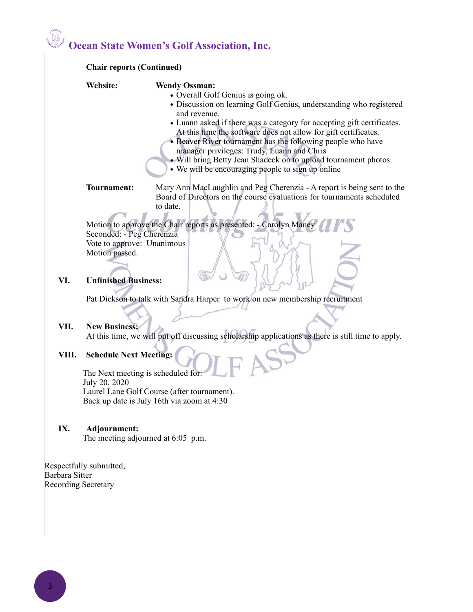# **Ocean State Women's Golf Association, Inc.**

|               | Website:<br><b>Wendy Ossman:</b>                                                                                                                                                                                                                       |
|---------------|--------------------------------------------------------------------------------------------------------------------------------------------------------------------------------------------------------------------------------------------------------|
|               | • Overall Golf Genius is going ok.                                                                                                                                                                                                                     |
|               | · Discussion on learning Golf Genius, understanding who registered                                                                                                                                                                                     |
|               | and revenue.                                                                                                                                                                                                                                           |
|               | • Luann asked if there was a category for accepting gift certificates.<br>At this time the software does not allow for gift certificates.<br>• Beaver River tournament has the following people who have<br>manager privileges: Trudy, Luann and Chris |
|               | • Will bring Betty Jean Shadeck on to upload tournament photos.                                                                                                                                                                                        |
|               | • We will be encouraging people to sign up online                                                                                                                                                                                                      |
|               | <b>Tournament:</b><br>Mary Ann MacLaughlin and Peg Cherenzia - A report is being sent to the                                                                                                                                                           |
|               | Board of Directors on the course evaluations for tournaments scheduled                                                                                                                                                                                 |
|               | to date.                                                                                                                                                                                                                                               |
|               | Motion to approve the Chair reports as presented: - Carolyn Maney                                                                                                                                                                                      |
|               | Seconded: - Peg Cherenzia                                                                                                                                                                                                                              |
|               | Vote to approve: Unanimous                                                                                                                                                                                                                             |
|               | Motion passed.                                                                                                                                                                                                                                         |
|               |                                                                                                                                                                                                                                                        |
| VI.           | <b>Unfinished Business:</b>                                                                                                                                                                                                                            |
|               |                                                                                                                                                                                                                                                        |
|               | Pat Dickson to talk with Sandra Harper to work on new membership recruitment                                                                                                                                                                           |
|               |                                                                                                                                                                                                                                                        |
| VII.<br>VIII. | <b>New Business:</b>                                                                                                                                                                                                                                   |
|               | At this time, we will put off discussing scholarship applications as there is still time to apply.                                                                                                                                                     |
|               | <b>Schedule Next Meeting:</b>                                                                                                                                                                                                                          |
|               |                                                                                                                                                                                                                                                        |
|               | The Next meeting is scheduled for:                                                                                                                                                                                                                     |
|               | July 20, 2020                                                                                                                                                                                                                                          |
|               | Laurel Lane Golf Course (after tournament).<br>Back up date is July 16th via zoom at 4:30                                                                                                                                                              |
|               |                                                                                                                                                                                                                                                        |
| IX.           | Adjournment:                                                                                                                                                                                                                                           |
|               | The meeting adjourned at $6:05$ p.m.                                                                                                                                                                                                                   |

Barbara Sitter Recording Secretary